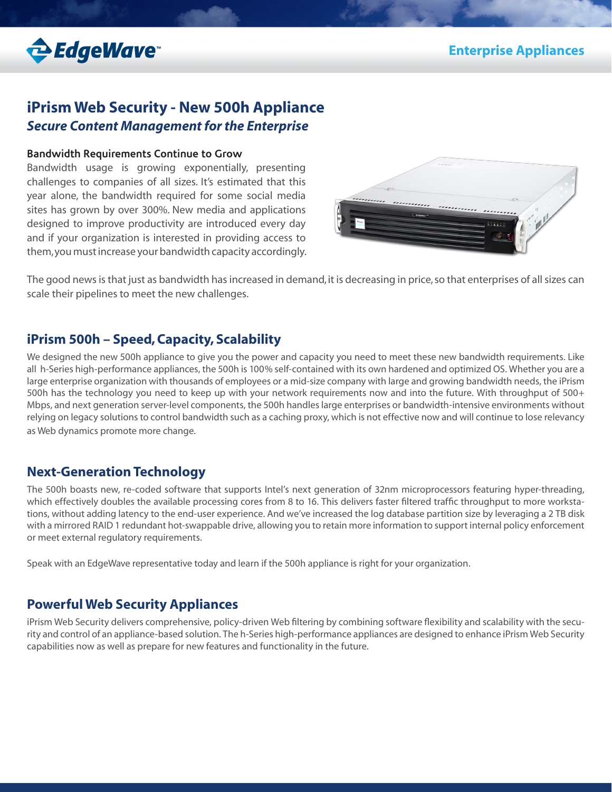

# **iPrism Web Security - New 500h Appliance** *Secure Content Management for the Enterprise*

#### **Bandwidth Requirements Continue to Grow**

Bandwidth usage is growing exponentially, presenting challenges to companies of all sizes. It's estimated that this year alone, the bandwidth required for some social media sites has grown by over 300%. New media and applications designed to improve productivity are introduced every day and if your organization is interested in providing access to them, you must increase your bandwidth capacity accordingly.



The good news is that just as bandwidth has increased in demand, it is decreasing in price, so that enterprises of all sizes can scale their pipelines to meet the new challenges.

## **iPrism 500h – Speed, Capacity, Scalability**

We designed the new 500h appliance to give you the power and capacity you need to meet these new bandwidth requirements. Like all h-Series high-performance appliances, the 500h is 100% self-contained with its own hardened and optimized OS. Whether you are a large enterprise organization with thousands of employees or a mid-size company with large and growing bandwidth needs, the iPrism 500h has the technology you need to keep up with your network requirements now and into the future. With throughput of 500+ Mbps, and next generation server-level components, the 500h handles large enterprises or bandwidth-intensive environments without relying on legacy solutions to control bandwidth such as a caching proxy, which is not effective now and will continue to lose relevancy as Web dynamics promote more change.

## **Next-Generation Technology**

The 500h boasts new, re-coded software that supports Intel's next generation of 32nm microprocessors featuring hyper-threading, which effectively doubles the available processing cores from 8 to 16. This delivers faster filtered traffic throughput to more workstations, without adding latency to the end-user experience. And we've increased the log database partition size by leveraging a 2 TB disk with a mirrored RAID 1 redundant hot-swappable drive, allowing you to retain more information to support internal policy enforcement or meet external regulatory requirements.

Speak with an EdgeWave representative today and learn if the 500h appliance is right for your organization.

## **Powerful Web Security Appliances**

iPrism Web Security delivers comprehensive, policy-driven Web filtering by combining software flexibility and scalability with the security and control of an appliance-based solution. The h-Series high-performance appliances are designed to enhance iPrism Web Security capabilities now as well as prepare for new features and functionality in the future.